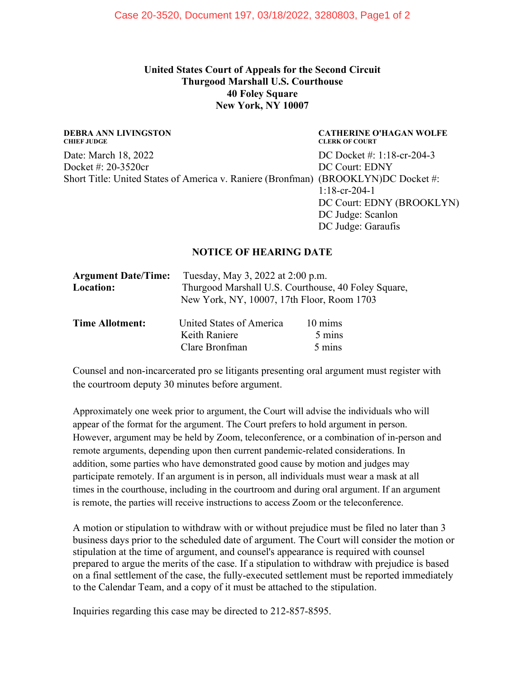## **United States Court of Appeals for the Second Circuit Thurgood Marshall U.S. Courthouse 40 Foley Square New York, NY 10007**

#### **DEBRA ANN LIVINGSTON CHIEF JUDGE**

Date: March 18, 2022 Docket #: 20-3520cr Short Title: United States of America v. Raniere (Bronfman) (BROOKLYN)DC Docket #:

#### **CATHERINE O'HAGAN WOLFE CLERK OF COURT**

DC Docket #: 1:18-cr-204-3 DC Court: EDNY 1:18-cr-204-1 DC Court: EDNY (BROOKLYN) DC Judge: Scanlon DC Judge: Garaufis

#### **NOTICE OF HEARING DATE**

| <b>Argument Date/Time:</b> | Tuesday, May 3, 2022 at 2:00 p.m.                                                                 |                   |
|----------------------------|---------------------------------------------------------------------------------------------------|-------------------|
| Location:                  | Thurgood Marshall U.S. Courthouse, 40 Foley Square,<br>New York, NY, 10007, 17th Floor, Room 1703 |                   |
|                            |                                                                                                   |                   |
| <b>Time Allotment:</b>     | United States of America                                                                          | $10 \text{ mins}$ |
|                            | Keith Raniere                                                                                     | 5 mins            |
|                            | Clare Bronfman                                                                                    | 5 mins            |

Counsel and non-incarcerated pro se litigants presenting oral argument must register with the courtroom deputy 30 minutes before argument.

Approximately one week prior to argument, the Court will advise the individuals who will appear of the format for the argument. The Court prefers to hold argument in person. However, argument may be held by Zoom, teleconference, or a combination of in-person and remote arguments, depending upon then current pandemic-related considerations. In addition, some parties who have demonstrated good cause by motion and judges may participate remotely. If an argument is in person, all individuals must wear a mask at all times in the courthouse, including in the courtroom and during oral argument. If an argument is remote, the parties will receive instructions to access Zoom or the teleconference.

A motion or stipulation to withdraw with or without prejudice must be filed no later than 3 business days prior to the scheduled date of argument. The Court will consider the motion or stipulation at the time of argument, and counsel's appearance is required with counsel prepared to argue the merits of the case. If a stipulation to withdraw with prejudice is based on a final settlement of the case, the fully-executed settlement must be reported immediately to the Calendar Team, and a copy of it must be attached to the stipulation.

Inquiries regarding this case may be directed to 212-857-8595.